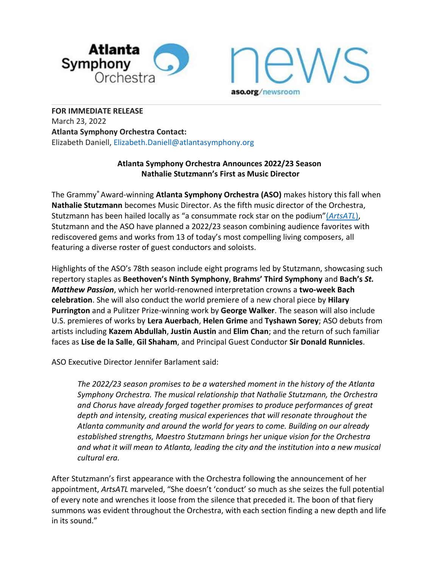



**FOR IMMEDIATE RELEASE** March 23, 2022 **Atlanta Symphony Orchestra Contact:** Elizabeth Daniell, Elizabeth.Daniell@atlantasymphony.org

### **Atlanta Symphony Orchestra Announces 2022/23 Season Nathalie Stutzmann's First as Music Director**

The Grammy® Award-winning **Atlanta Symphony Orchestra (ASO)** makes history this fall when **Nathalie Stutzmann** becomes Music Director. As the fifth music director of the Orchestra, Stutzmann has been hailed locally as "a consummate rock star on the podium"(*[ArtsATL](https://www.artsatl.org/review-nathalie-stutzmann-makes-a-dazzling-debut-as-aso-music-director/)*), Stutzmann and the ASO have planned a 2022/23 season combining audience favorites with rediscovered gems and works from 13 of today's most compelling living composers, all featuring a diverse roster of guest conductors and soloists.

Highlights of the ASO's 78th season include eight programs led by Stutzmann, showcasing such repertory staples as **Beethoven's Ninth Symphony**, **Brahms' Third Symphony** and **Bach's** *St. Matthew Passion*, which her world-renowned interpretation crowns a **two-week Bach celebration**. She will also conduct the world premiere of a new choral piece by **Hilary Purrington** and a Pulitzer Prize-winning work by **George Walker**. The season will also include U.S. premieres of works by **Lera Auerbach**, **Helen Grime** and **Tyshawn Sorey**; ASO debuts from artists including **Kazem Abdullah**, **Justin Austin** and **Elim Chan**; and the return of such familiar faces as **Lise de la Salle**, **Gil Shaham**, and Principal Guest Conductor **Sir Donald Runnicles**.

ASO Executive Director Jennifer Barlament said:

*The 2022/23 season promises to be a watershed moment in the history of the Atlanta Symphony Orchestra. The musical relationship that Nathalie Stutzmann, the Orchestra and Chorus have already forged together promises to produce performances of great depth and intensity, creating musical experiences that will resonate throughout the Atlanta community and around the world for years to come. Building on our already established strengths, Maestro Stutzmann brings her unique vision for the Orchestra and what it will mean to Atlanta, leading the city and the institution into a new musical cultural era.*

After Stutzmann's first appearance with the Orchestra following the announcement of her appointment, *ArtsATL* marveled, "She doesn't 'conduct' so much as she seizes the full potential of every note and wrenches it loose from the silence that preceded it. The boon of that fiery summons was evident throughout the Orchestra, with each section finding a new depth and life in its sound."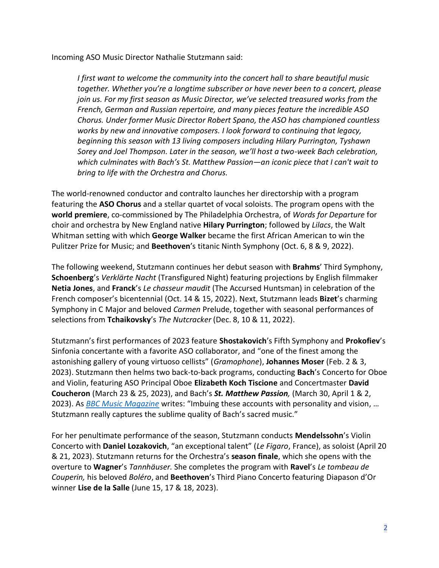Incoming ASO Music Director Nathalie Stutzmann said:

*I first want to welcome the community into the concert hall to share beautiful music together. Whether you're a longtime subscriber or have never been to a concert, please join us. For my first season as Music Director, we've selected treasured works from the French, German and Russian repertoire, and many pieces feature the incredible ASO Chorus. Under former Music Director Robert Spano, the ASO has championed countless works by new and innovative composers. I look forward to continuing that legacy, beginning this season with 13 living composers including Hilary Purrington, Tyshawn Sorey and Joel Thompson. Later in the season, we'll host a two-week Bach celebration, which culminates with Bach's St. Matthew Passion—an iconic piece that I can't wait to bring to life with the Orchestra and Chorus.*

The world-renowned conductor and contralto launches her directorship with a program featuring the **ASO Chorus** and a stellar quartet of vocal soloists. The program opens with the **world premiere**, co-commissioned by The Philadelphia Orchestra, of *Words for Departure* for choir and orchestra by New England native **Hilary Purrington**; followed by *Lilacs*, the Walt Whitman setting with which **George Walker** became the first African American to win the Pulitzer Prize for Music; and **Beethoven**'s titanic Ninth Symphony (Oct. 6, 8 & 9, 2022).

The following weekend, Stutzmann continues her debut season with **Brahms**' Third Symphony, **Schoenberg**'s *Verklärte Nacht* (Transfigured Night) featuring projections by English filmmaker **Netia Jones**, and **Franck**'s *Le chasseur maudit* (The Accursed Huntsman) in celebration of the French composer's bicentennial (Oct. 14 & 15, 2022). Next, Stutzmann leads **Bizet**'s charming Symphony in C Major and beloved *Carmen* Prelude, together with seasonal performances of selections from **Tchaikovsky**'s *The Nutcracker* (Dec. 8, 10 & 11, 2022).

Stutzmann's first performances of 2023 feature **Shostakovich**'s Fifth Symphony and **Prokofiev**'s Sinfonia concertante with a favorite ASO collaborator, and "one of the finest among the astonishing gallery of young virtuoso cellists" (*Gramophone*), **Johannes Moser** (Feb. 2 & 3, 2023). Stutzmann then helms two back-to-back programs, conducting **Bach**'s Concerto for Oboe and Violin, featuring ASO Principal Oboe **Elizabeth Koch Tiscione** and Concertmaster **David Coucheron** (March 23 & 25, 2023), and Bach's *St. Matthew Passion,* (March 30, April 1 & 2, 2023). As *[BBC Music Magazine](https://www.classical-music.com/reviews/bach-une-cantate-imaginaire/)* writes: "Imbuing these accounts with personality and vision, … Stutzmann really captures the sublime quality of Bach's sacred music."

For her penultimate performance of the season, Stutzmann conducts **Mendelssohn**'s Violin Concerto with **Daniel Lozakovich**, "an exceptional talent" (*Le Figaro*, France), as soloist (April 20 & 21, 2023). Stutzmann returns for the Orchestra's **season finale**, which she opens with the overture to **Wagner**'s *Tannhäuser.* She completes the program with **Ravel**'s *Le tombeau de Couperin,* his beloved *Boléro*, and **Beethoven**'s Third Piano Concerto featuring Diapason d'Or winner **Lise de la Salle** (June 15, 17 & 18, 2023).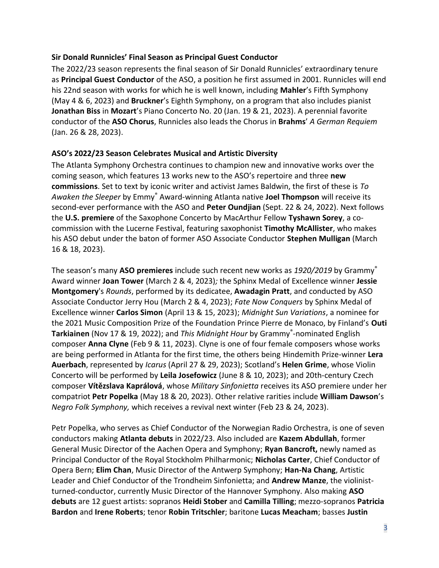### **Sir Donald Runnicles' Final Season as Principal Guest Conductor**

The 2022/23 season represents the final season of Sir Donald Runnicles' extraordinary tenure as **Principal Guest Conductor** of the ASO, a position he first assumed in 2001. Runnicles will end his 22nd season with works for which he is well known, including **Mahler**'s Fifth Symphony (May 4 & 6, 2023) and **Bruckner**'s Eighth Symphony, on a program that also includes pianist **Jonathan Biss** in **Mozart**'s Piano Concerto No. 20 (Jan. 19 & 21, 2023). A perennial favorite conductor of the **ASO Chorus**, Runnicles also leads the Chorus in **Brahms**' *A German Requiem* (Jan. 26 & 28, 2023).

### **ASO's 2022/23 Season Celebrates Musical and Artistic Diversity**

The Atlanta Symphony Orchestra continues to champion new and innovative works over the coming season, which features 13 works new to the ASO's repertoire and three **new commissions**. Set to text by iconic writer and activist James Baldwin, the first of these is *To Awaken the Sleeper* by Emmy® Award-winning Atlanta native **Joel Thompson** will receive its second-ever performance with the ASO and **Peter Oundjian** (Sept. 22 & 24, 2022). Next follows the **U.S. premiere** of the Saxophone Concerto by MacArthur Fellow **Tyshawn Sorey**, a cocommission with the Lucerne Festival, featuring saxophonist **Timothy McAllister**, who makes his ASO debut under the baton of former ASO Associate Conductor **Stephen Mulligan** (March 16 & 18, 2023).

The season's many **ASO premieres** include such recent new works as *1920/2019* by Grammy® Award winner **Joan Tower** (March 2 & 4, 2023)*;* the Sphinx Medal of Excellence winner **Jessie Montgomery**'s *Rounds*, performed by its dedicatee, **Awadagin Pratt**, and conducted by ASO Associate Conductor Jerry Hou (March 2 & 4, 2023); *Fate Now Conquers* by Sphinx Medal of Excellence winner **Carlos Simon** (April 13 & 15, 2023); *Midnight Sun Variations*, a nominee for the 2021 Music Composition Prize of the Foundation Prince Pierre de Monaco, by Finland's **Outi Tarkiainen** (Nov 17 & 19, 2022); and *This Midnight Hour* by Grammy® -nominated English composer **Anna Clyne** (Feb 9 & 11, 2023). Clyne is one of four female composers whose works are being performed in Atlanta for the first time, the others being Hindemith Prize-winner **Lera Auerbach**, represented by *Icarus* (April 27 & 29, 2023); Scotland's **Helen Grime**, whose Violin Concerto will be performed by **Leila Josefowicz** (June 8 & 10, 2023); and 20th-century Czech composer **Vítězslava Kaprálová**, whose *Military Sinfonietta* receives its ASO premiere under her compatriot **Petr Popelka** (May 18 & 20, 2023). Other relative rarities include **William Dawson**'s *Negro Folk Symphony,* which receives a revival next winter (Feb 23 & 24, 2023).

Petr Popelka, who serves as Chief Conductor of the Norwegian Radio Orchestra, is one of seven conductors making **Atlanta debuts** in 2022/23. Also included are **Kazem Abdullah**, former General Music Director of the Aachen Opera and Symphony; **Ryan Bancroft,** newly named as Principal Conductor of the Royal Stockholm Philharmonic; **Nicholas Carter**, Chief Conductor of Opera Bern; **Elim Chan**, Music Director of the Antwerp Symphony; **Han-Na Chang**, Artistic Leader and Chief Conductor of the Trondheim Sinfonietta; and **Andrew Manze**, the violinistturned-conductor, currently Music Director of the Hannover Symphony. Also making **ASO debuts** are 12 guest artists: sopranos **Heidi Stober** and **Camilla Tilling**; mezzo-sopranos **Patricia Bardon** and **Irene Roberts**; tenor **Robin Tritschler**; baritone **Lucas Meacham**; basses **Justin**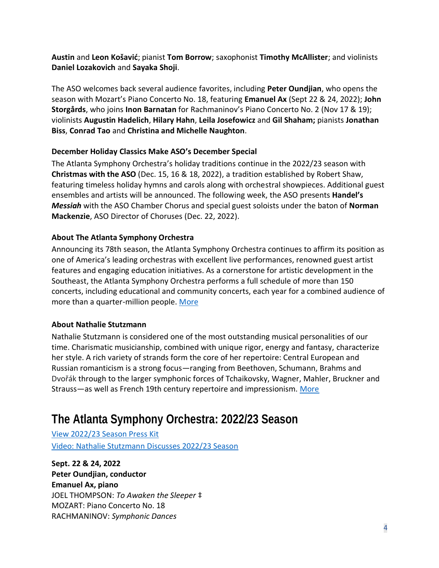**Austin** and **Leon Košavić**; pianist **Tom Borrow**; saxophonist **Timothy McAllister**; and violinists **Daniel Lozakovich** and **Sayaka Shoji**.

The ASO welcomes back several audience favorites, including **Peter Oundjian**, who opens the season with Mozart's Piano Concerto No. 18, featuring **Emanuel Ax** (Sept 22 & 24, 2022); **John Storgårds**, who joins **Inon Barnatan** for Rachmaninov's Piano Concerto No. 2 (Nov 17 & 19); violinists **Augustin Hadelich**, **Hilary Hahn**, **Leila Josefowicz** and **Gil Shaham;** pianists **Jonathan Biss**, **Conrad Tao** and **Christina and Michelle Naughton**.

# **December Holiday Classics Make ASO's December Special**

The Atlanta Symphony Orchestra's holiday traditions continue in the 2022/23 season with **Christmas with the ASO** (Dec. 15, 16 & 18, 2022), a tradition established by Robert Shaw, featuring timeless holiday hymns and carols along with orchestral showpieces. Additional guest ensembles and artists will be announced. The following week, the ASO presents **Handel's** *Messiah* with the ASO Chamber Chorus and special guest soloists under the baton of **Norman Mackenzie**, ASO Director of Choruses (Dec. 22, 2022).

# **About The Atlanta Symphony Orchestra**

Announcing its 78th season, the Atlanta Symphony Orchestra continues to affirm its position as one of America's leading orchestras with excellent live performances, renowned guest artist features and engaging education initiatives. As a cornerstone for artistic development in the Southeast, the Atlanta Symphony Orchestra performs a full schedule of more than 150 concerts, including educational and community concerts, each year for a combined audience of more than a quarter-million people. [More](https://www.aso.org/who-we-are)

## **About Nathalie Stutzmann**

Nathalie Stutzmann is considered one of the most outstanding musical personalities of our time. Charismatic musicianship, combined with unique rigor, energy and fantasy, characterize her style. A rich variety of strands form the core of her repertoire: Central European and Russian romanticism is a strong focus—ranging from Beethoven, Schumann, Brahms and Dvořák through to the larger symphonic forces of Tchaikovsky, Wagner, Mahler, Bruckner and Strauss—as well as French 19th century repertoire and impressionism. [More](https://www.aso.org/artists/detail/nathalie-stutzmann)

# **The Atlanta Symphony Orchestra: 2022/23 Season**

[View 2022/23 Season Press Kit](https://www.dropbox.com/sh/zh9v3f9xbtw7qj3/AADOzCU67fV58dls8RJyqZ6Ra?dl=0) [Video: Nathalie Stutzmann Discusses 2022/23 Season](https://youtu.be/kCSSy5w7dcU)

**Sept. 22 & 24, 2022 Peter Oundjian, conductor Emanuel Ax, piano**  JOEL THOMPSON: *To Awaken the Sleeper* ‡ MOZART: Piano Concerto No. 18 RACHMANINOV: *Symphonic Dances*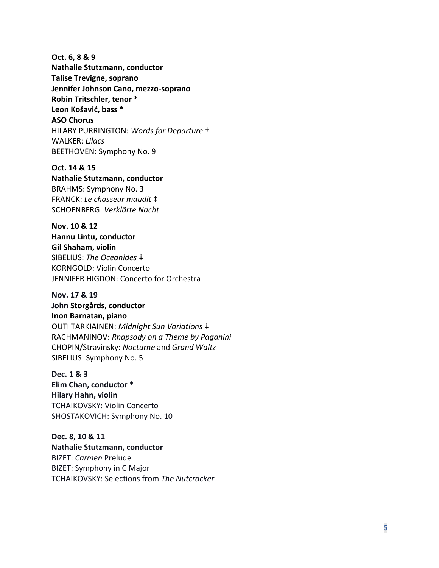**Oct. 6, 8 & 9 Nathalie Stutzmann, conductor Talise Trevigne, soprano Jennifer Johnson Cano, mezzo -soprano Robin Tritschler, tenor \* Leon Košavić, bass \* ASO Chorus**  HILARY PURRINGTON: *Words for Departure* † WALKER: *Lilacs*  BEETHOVEN: Symphony No. 9

**Oct. 14 & 15 Nathalie Stutzmann, conductor** BRAHMS: Symphony No. 3 FRANCK: *Le chasseur maudit*  ‡ SCHOENBERG: *Verklärte Nacht*

**Nov. 10 & 12 Hannu Lintu, conductor Gil Shaham, violin** SIBELIUS: *The Oceanides*  ‡ KORNGOLD: Violin Concerto JENNIFER HIGDON: Concerto for Orchestra

**Nov. 17 & 19 John Storgårds, conductor Inon Barnatan, piano** OUTI TARKIAINEN: *Midnight Sun Variations*  ‡ RACHMANINOV: *Rhapsody on a Theme by Paganini* CHOPIN/Stravinsky: *Nocturne* and *Grand Waltz* SIBELIUS: Symphony No. 5

**Dec. 1 & 3 Elim Chan, conductor \* Hilary Hahn, violin** TCHAIKOVSKY: Violin Concerto SHOSTAKOVICH: Symphony No. 10

**Dec. 8, 10 & 11 Nathalie Stutzmann, conductor** BIZET: *Carmen* Prelude BIZET: Symphony in C Major TCHAIKOVSKY: Selections from *The Nutcracker*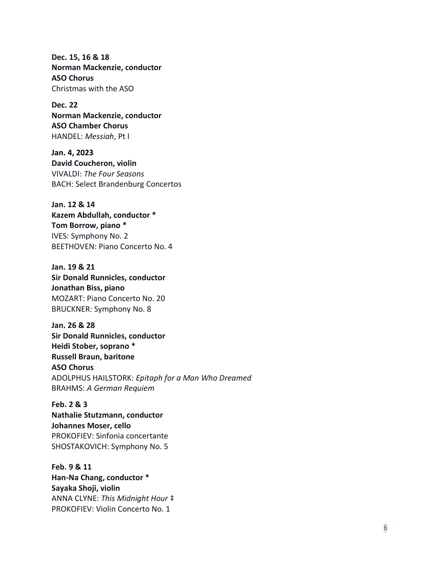**Dec. 15, 16 & 18 Norman Mackenzie, conductor ASO Chorus** Christmas with the ASO

**Dec. 22 Norman Mackenzie, conductor ASO Chamber Chorus**  HANDEL: *Messiah*, Pt I

**Jan. 4, 2023 David Coucheron, violin** VIVALDI: *The Four Seasons* BACH: Select Brandenburg Concertos

**Jan. 12 & 14 Kazem Abdullah, conductor \* Tom Borrow, piano \*** IVES: Symphony No. 2 BEETHOVEN: Piano Concerto No. 4

**Jan. 19 & 21 Sir Donald Runnicles, conductor Jonathan Biss, piano** MOZART: Piano Concerto No. 20 BRUCKNER: Symphony No. 8

**Jan. 26 & 28 Sir Donald Runnicles, conductor Heidi Stober, soprano \* Russell Braun, baritone ASO Chorus** ADOLPHUS HAILSTORK: *Epitaph for a Man Who Dreamed* BRAHMS: *A German Requiem*

**Feb. 2 & 3 Nathalie Stutzmann, conductor Johannes Moser, cello** PROKOFIEV: Sinfonia concertante SHOSTAKOVICH: Symphony No. 5

**Feb. 9 & 11 Han-Na Chang, conductor \* Sayaka Shoji, violin** ANNA CLYNE: *This Midnight Hour* ‡ PROKOFIEV: Violin Concerto No. 1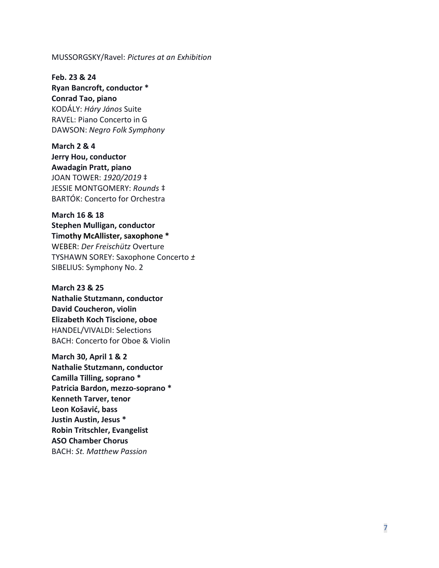#### MUSSORGSKY/Ravel: *Pictures at an Exhibition*

**Feb. 23 & 24 Ryan Bancroft, conductor \* Conrad Tao, piano** KODÁLY: *Háry János* Suite RAVEL: Piano Concerto in G DAWSON: *Negro Folk Symphony*

**March 2 & 4 Jerry Hou, conductor Awadagin Pratt, piano** JOAN TOWER: *1920/2019* ‡ JESSIE MONTGOMERY: *Rounds* ‡ BARTÓK: Concerto for Orchestra

**March 16 & 18 Stephen Mulligan, conductor Timothy McAllister, saxophone \*** WEBER: *Der Freischütz* Overture TYSHAWN SOREY: Saxophone Concerto *±* SIBELIUS: Symphony No. 2

**March 23 & 25 Nathalie Stutzmann, conductor David Coucheron, violin Elizabeth Koch Tiscione, oboe** HANDEL/VIVALDI: Selections BACH: Concerto for Oboe & Violin

**March 30, April 1 & 2 Nathalie Stutzmann, conductor Camilla Tilling, soprano \* Patricia Bardon, mezzo -soprano \* Kenneth Tarver, tenor Leon Košavić, bass Justin Austin, Jesus \* Robin Tritschler, Evangelist ASO Chamber Chorus** BACH: *St. Matthew Passion*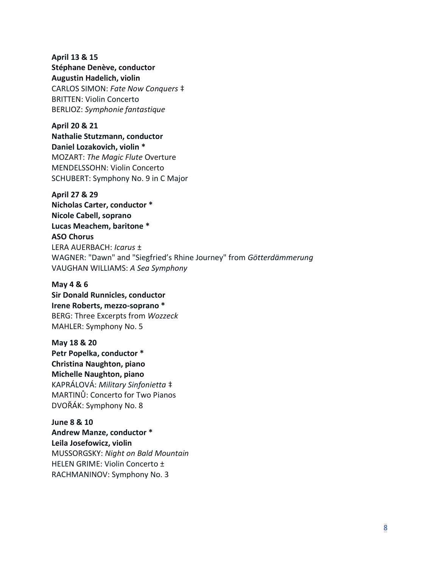**April 13 & 15 Stéphane Denève, conductor Augustin Hadelich, violin** CARLOS SIMON: *Fate Now Conquers* ‡

BRITTEN: Violin Concerto BERLIOZ: *Symphonie fantastique*

### **April 20 & 21**

**Nathalie Stutzmann, conductor Daniel Lozakovich, violin \*** MOZART: *The Magic Flute* Overture MENDELSSOHN: Violin Concerto SCHUBERT: Symphony No. 9 in C Major

**April 27 & 29**

**Nicholas Carter, conductor \* Nicole Cabell, soprano Lucas Meachem, baritone \* ASO Chorus** LERA AUERBACH: *Icarus* ± WAGNER: "Dawn" and "Siegfried's Rhine Journey" from *Götterdämmerung*  VAUGHAN WILLIAMS: *A Sea Symphony*

### **May 4 & 6**

**Sir Donald Runnicles, conductor Irene Roberts, mezzo-soprano \*** BERG: Three Excerpts from *Wozzeck* MAHLER: Symphony No. 5

**May 18 & 20 Petr Popelka, conductor \***

**Christina Naughton, piano Michelle Naughton, piano** KAPRÁLOVÁ: *Military Sinfonietta* ‡ MARTINŮ: Concerto for Two Pianos DVOŘÁK: Symphony No. 8

**June 8 & 10 Andrew Manze, conductor \* Leila Josefowicz, violin** MUSSORGSKY: *Night on Bald Mountain*  HELEN GRIME: Violin Concerto ± RACHMANINOV: Symphony No. 3